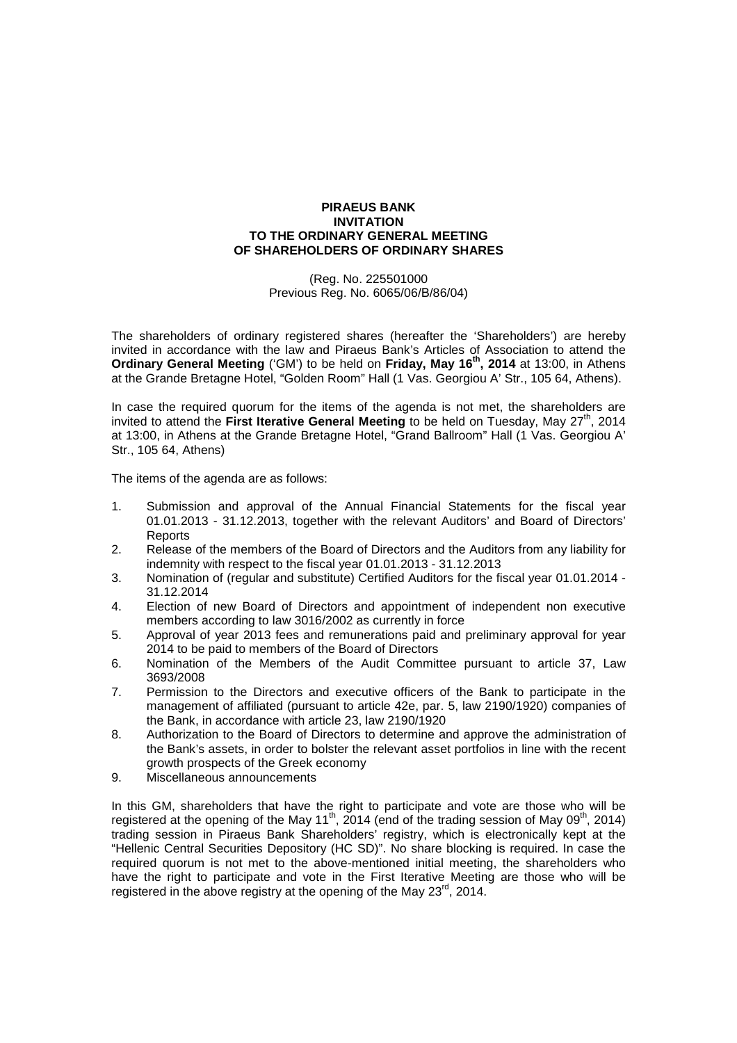## **PIRAEUS BANK INVITATION TO THE ORDINARY GENERAL MEETING OF SHAREHOLDERS OF ORDINARY SHARES**

(Reg. No. 225501000 Previous Reg. No. 6065/06/Β/86/04)

The shareholders of ordinary registered shares (hereafter the 'Shareholders') are hereby invited in accordance with the law and Piraeus Bank's Articles of Association to attend the **Ordinary General Meeting** ('GM') to be held on **Friday, May 16th, 2014** at 13:00, in Athens at the Grande Bretagne Hotel, "Golden Room" Hall (1 Vas. Georgiou A' Str., 105 64, Athens).

In case the required quorum for the items of the agenda is not met, the shareholders are invited to attend the **First Iterative General Meeting** to be held on Tuesday, May 27<sup>th</sup>, 2014 at 13:00, in Athens at the Grande Bretagne Hotel, "Grand Ballroom" Hall (1 Vas. Georgiou A' Str., 105 64, Athens)

The items of the agenda are as follows:

- 1. Submission and approval of the Annual Financial Statements for the fiscal year 01.01.2013 - 31.12.2013, together with the relevant Auditors' and Board of Directors' **Reports**
- 2. Release of the members of the Board of Directors and the Auditors from any liability for indemnity with respect to the fiscal year 01.01.2013 - 31.12.2013
- 3. Nomination of (regular and substitute) Certified Auditors for the fiscal year 01.01.2014 31.12.2014
- 4. Election of new Board of Directors and appointment of independent non executive members according to law 3016/2002 as currently in force
- 5. Approval of year 2013 fees and remunerations paid and preliminary approval for year 2014 to be paid to members of the Board of Directors
- 6. Nomination of the Members of the Audit Committee pursuant to article 37, Law 3693/2008
- 7. Permission to the Directors and executive officers of the Bank to participate in the management of affiliated (pursuant to article 42e, par. 5, law 2190/1920) companies of the Bank, in accordance with article 23, law 2190/1920
- 8. Authorization to the Board of Directors to determine and approve the administration of the Bank's assets, in order to bolster the relevant asset portfolios in line with the recent growth prospects of the Greek economy
- 9. Miscellaneous announcements

In this GM, shareholders that have the right to participate and vote are those who will be registered at the opening of the May 11<sup>th</sup>, 2014 (end of the trading session of May 09<sup>th</sup>, 2014) trading session in Piraeus Bank Shareholders' registry, which is electronically kept at the "Hellenic Central Securities Depository (HC SD)". No share blocking is required. In case the required quorum is not met to the above-mentioned initial meeting, the shareholders who have the right to participate and vote in the First Iterative Meeting are those who will be registered in the above registry at the opening of the May 23<sup>rd</sup>, 2014.